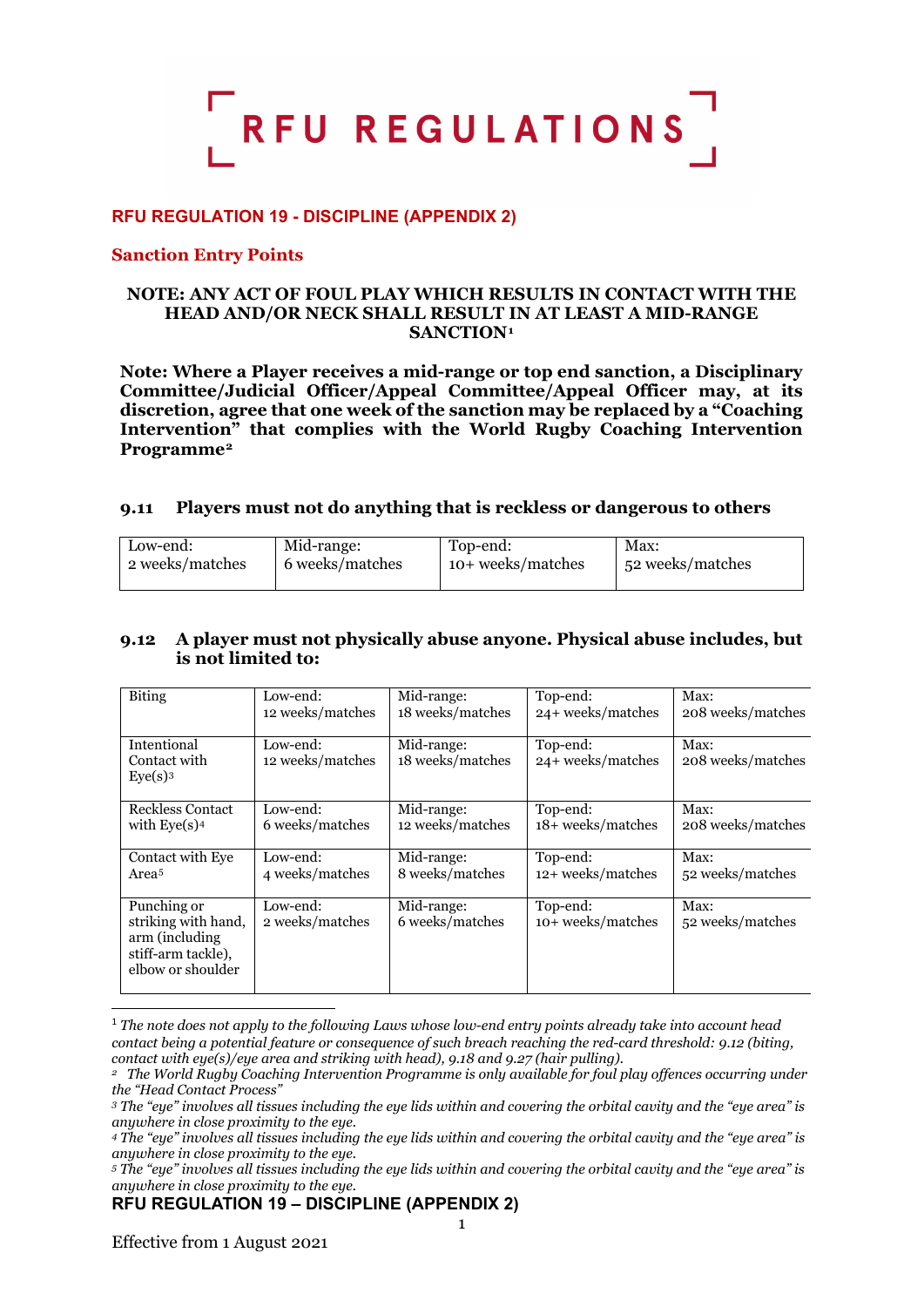

## **RFU REGULATION 19 - DISCIPLINE (APPENDIX 2)**

#### **Sanction Entry Points**

#### **NOTE: ANY ACT OF FOUL PLAY WHICH RESULTS IN CONTACT WITH THE HEAD AND/OR NECK SHALL RESULT IN AT LEAST A MID-RANGE SANCTION[1](#page-0-0)**

**Note: Where a Player receives a mid-range or top end sanction, a Disciplinary Committee/Judicial Officer/Appeal Committee/Appeal Officer may, at its discretion, agree that one week of the sanction may be replaced by a "Coaching Intervention" that complies with the World Rugby Coaching Intervention Programme[2](#page-0-1)**

#### **9.11 Players must not do anything that is reckless or dangerous to others**

| Low-end:        | Mid-range:      | Top-end:          | Max:             |
|-----------------|-----------------|-------------------|------------------|
| 2 weeks/matches | 6 weeks/matches | 10+ weeks/matches | 52 weeks/matches |
|                 |                 |                   |                  |

#### **9.12 A player must not physically abuse anyone. Physical abuse includes, but is not limited to:**

| <b>Biting</b>                                                                                    | Low-end:                     | Mid-range:                     | Top-end:                      | Max:                      |
|--------------------------------------------------------------------------------------------------|------------------------------|--------------------------------|-------------------------------|---------------------------|
|                                                                                                  | 12 weeks/matches             | 18 weeks/matches               | 24+ weeks/matches             | 208 weeks/matches         |
| Intentional<br>Contact with<br>Eye(s) <sup>3</sup>                                               | Low-end:<br>12 weeks/matches | Mid-range:<br>18 weeks/matches | Top-end:<br>24+ weeks/matches | Max:<br>208 weeks/matches |
| Reckless Contact                                                                                 | Low-end:                     | Mid-range:                     | Top-end:                      | Max:                      |
| with $Eye(s)4$                                                                                   | 6 weeks/matches              | 12 weeks/matches               | 18+ weeks/matches             | 208 weeks/matches         |
| Contact with Eye                                                                                 | Low-end:                     | Mid-range:                     | Top-end:                      | Max:                      |
| Area <sup>5</sup>                                                                                | 4 weeks/matches              | 8 weeks/matches                | 12+ weeks/matches             | 52 weeks/matches          |
| Punching or<br>striking with hand,<br>arm (including)<br>stiff-arm tackle),<br>elbow or shoulder | Low-end:<br>2 weeks/matches  | Mid-range:<br>6 weeks/matches  | Top-end:<br>10+ weeks/matches | Max:<br>52 weeks/matches  |

<span id="page-0-0"></span><sup>1</sup> *The note does not apply to the following Laws whose low-end entry points already take into account head contact being a potential feature or consequence of such breach reaching the red-card threshold: 9.12 (biting, contact with eye(s)/eye area and striking with head), 9.18 and 9.27 (hair pulling).*

<span id="page-0-1"></span>*<sup>2</sup> The World Rugby Coaching Intervention Programme is only available for foul play offences occurring under the "Head Contact Process"*

<span id="page-0-2"></span>*<sup>3</sup> The "eye" involves all tissues including the eye lids within and covering the orbital cavity and the "eye area" is anywhere in close proximity to the eye.*

<span id="page-0-3"></span>*<sup>4</sup> The "eye" involves all tissues including the eye lids within and covering the orbital cavity and the "eye area" is anywhere in close proximity to the eye.*

<span id="page-0-4"></span>*<sup>5</sup> The "eye" involves all tissues including the eye lids within and covering the orbital cavity and the "eye area" is anywhere in close proximity to the eye.*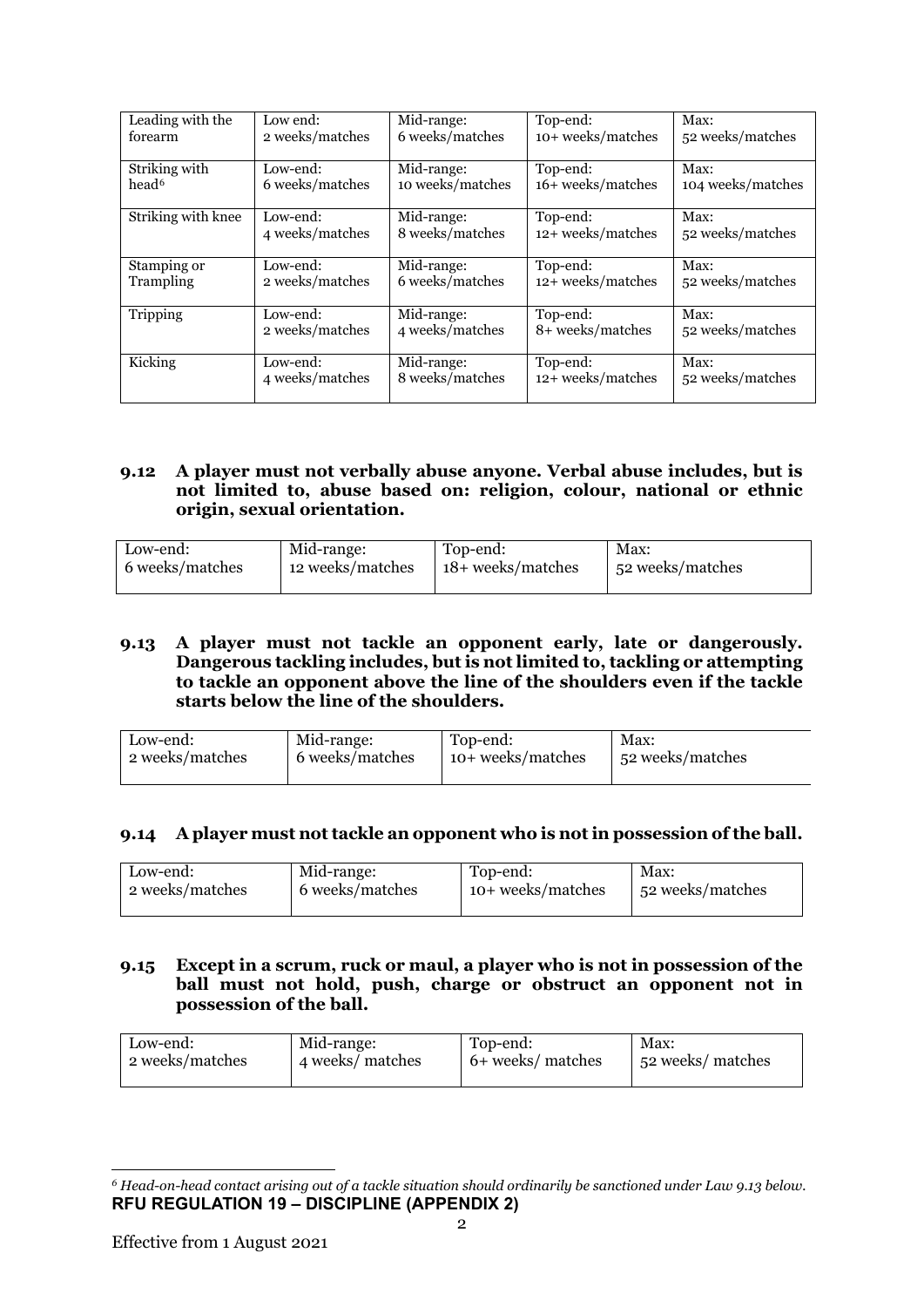| Leading with the   | Low end:        | Mid-range:       | Top-end:          | Max:              |
|--------------------|-----------------|------------------|-------------------|-------------------|
| forearm            | 2 weeks/matches | 6 weeks/matches  | 10+ weeks/matches | 52 weeks/matches  |
|                    |                 |                  |                   |                   |
| Striking with      | Low-end:        | Mid-range:       | Top-end:          | Max:              |
| head <sup>6</sup>  | 6 weeks/matches | 10 weeks/matches | 16+ weeks/matches | 104 weeks/matches |
|                    |                 |                  |                   |                   |
| Striking with knee | Low-end:        | Mid-range:       | Top-end:          | Max:              |
|                    | 4 weeks/matches | 8 weeks/matches  | 12+ weeks/matches | 52 weeks/matches  |
|                    |                 |                  |                   |                   |
| Stamping or        | Low-end:        | Mid-range:       | Top-end:          | Max:              |
| Trampling          | 2 weeks/matches | 6 weeks/matches  | 12+ weeks/matches | 52 weeks/matches  |
|                    |                 |                  |                   |                   |
| Tripping           | Low-end:        | Mid-range:       | Top-end:          | Max:              |
|                    | 2 weeks/matches | 4 weeks/matches  | 8+ weeks/matches  | 52 weeks/matches  |
|                    |                 |                  |                   |                   |
| Kicking            | Low-end:        | Mid-range:       | Top-end:          | Max:              |
|                    | 4 weeks/matches | 8 weeks/matches  | 12+ weeks/matches | 52 weeks/matches  |
|                    |                 |                  |                   |                   |

#### **9.12 A player must not verbally abuse anyone. Verbal abuse includes, but is not limited to, abuse based on: religion, colour, national or ethnic origin, sexual orientation.**

| Low-end:        | Mid-range:       | Top-end:          | Max:             |
|-----------------|------------------|-------------------|------------------|
| 6 weeks/matches | 12 weeks/matches | 18+ weeks/matches | 52 weeks/matches |

#### **9.13 A player must not tackle an opponent early, late or dangerously. Dangerous tackling includes, but is not limited to, tackling or attempting to tackle an opponent above the line of the shoulders even if the tackle starts below the line of the shoulders.**

| Low-end:        | Mid-range:      | Top-end:          | Max:             |
|-----------------|-----------------|-------------------|------------------|
| 2 weeks/matches | 6 weeks/matches | 10+ weeks/matches | 52 weeks/matches |
|                 |                 |                   |                  |

## **9.14 A player must not tackle an opponent who is not in possession of the ball.**

| Low-end:        | Mid-range:      | Top-end:          | Max:             |
|-----------------|-----------------|-------------------|------------------|
| 2 weeks/matches | 6 weeks/matches | 10+ weeks/matches | 52 weeks/matches |
|                 |                 |                   |                  |

### **9.15 Except in a scrum, ruck or maul, a player who is not in possession of the ball must not hold, push, charge or obstruct an opponent not in possession of the ball.**

| Low-end:        | Mid-range:       | Top-end:          | Max:             |
|-----------------|------------------|-------------------|------------------|
| 2 weeks/matches | 4 weeks/ matches | 6+ weeks/ matches | 52 weeks/matches |
|                 |                  |                   |                  |

<span id="page-1-0"></span>**RFU REGULATION 19 – DISCIPLINE (APPENDIX 2)** *<sup>6</sup> Head-on-head contact arising out of a tackle situation should ordinarily be sanctioned under Law 9.13 below.*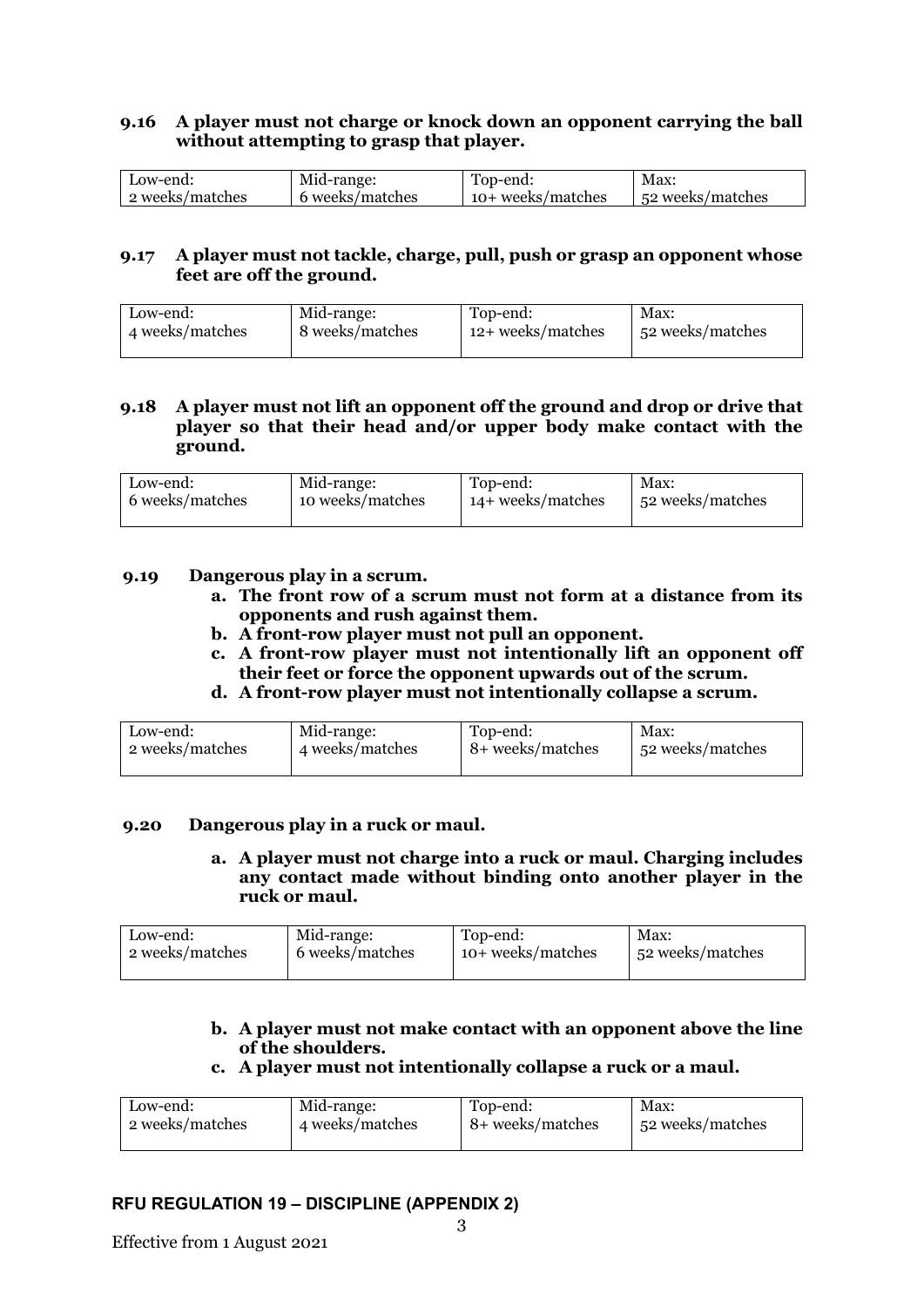## **9.16 A player must not charge or knock down an opponent carrying the ball without attempting to grasp that player.**

| Low-end:         | Mid-range:      | Top-end:          | Max:             |
|------------------|-----------------|-------------------|------------------|
| ∣2 weeks/matches | 6 weeks/matches | 10+ weeks/matches | 52 weeks/matches |

#### **9.17 A player must not tackle, charge, pull, push or grasp an opponent whose feet are off the ground.**

| Low-end:        | Mid-range:      | Top-end:          | Max:             |
|-----------------|-----------------|-------------------|------------------|
| 4 weeks/matches | 8 weeks/matches | 12+ weeks/matches | 52 weeks/matches |

### **9.18 A player must not lift an opponent off the ground and drop or drive that player so that their head and/or upper body make contact with the ground.**

| Low-end:        | Mid-range:       | Top-end:            | Max:             |
|-----------------|------------------|---------------------|------------------|
| 6 weeks/matches | 10 weeks/matches | $14+$ weeks/matches | 52 weeks/matches |
|                 |                  |                     |                  |

#### **9.19 Dangerous play in a scrum.**

- **a. The front row of a scrum must not form at a distance from its opponents and rush against them.**
- **b. A front-row player must not pull an opponent.**
- **c. A front-row player must not intentionally lift an opponent off their feet or force the opponent upwards out of the scrum.**
- **d. A front-row player must not intentionally collapse a scrum.**

| Low-end:        | Mid-range:      | Top-end:         | Max:             |
|-----------------|-----------------|------------------|------------------|
| 2 weeks/matches | 4 weeks/matches | 8+ weeks/matches | 52 weeks/matches |

## **9.20 Dangerous play in a ruck or maul.**

**a. A player must not charge into a ruck or maul. Charging includes any contact made without binding onto another player in the ruck or maul.** 

| Low-end:        | Mid-range:      | Top-end:          | Max:             |
|-----------------|-----------------|-------------------|------------------|
| 2 weeks/matches | 6 weeks/matches | 10+ weeks/matches | 52 weeks/matches |
|                 |                 |                   |                  |

## **b. A player must not make contact with an opponent above the line of the shoulders.**

## **c. A player must not intentionally collapse a ruck or a maul.**

| Low-end:        | Mid-range:      | Top-end:         | Max:             |
|-----------------|-----------------|------------------|------------------|
| 2 weeks/matches | 4 weeks/matches | 8+ weeks/matches | 52 weeks/matches |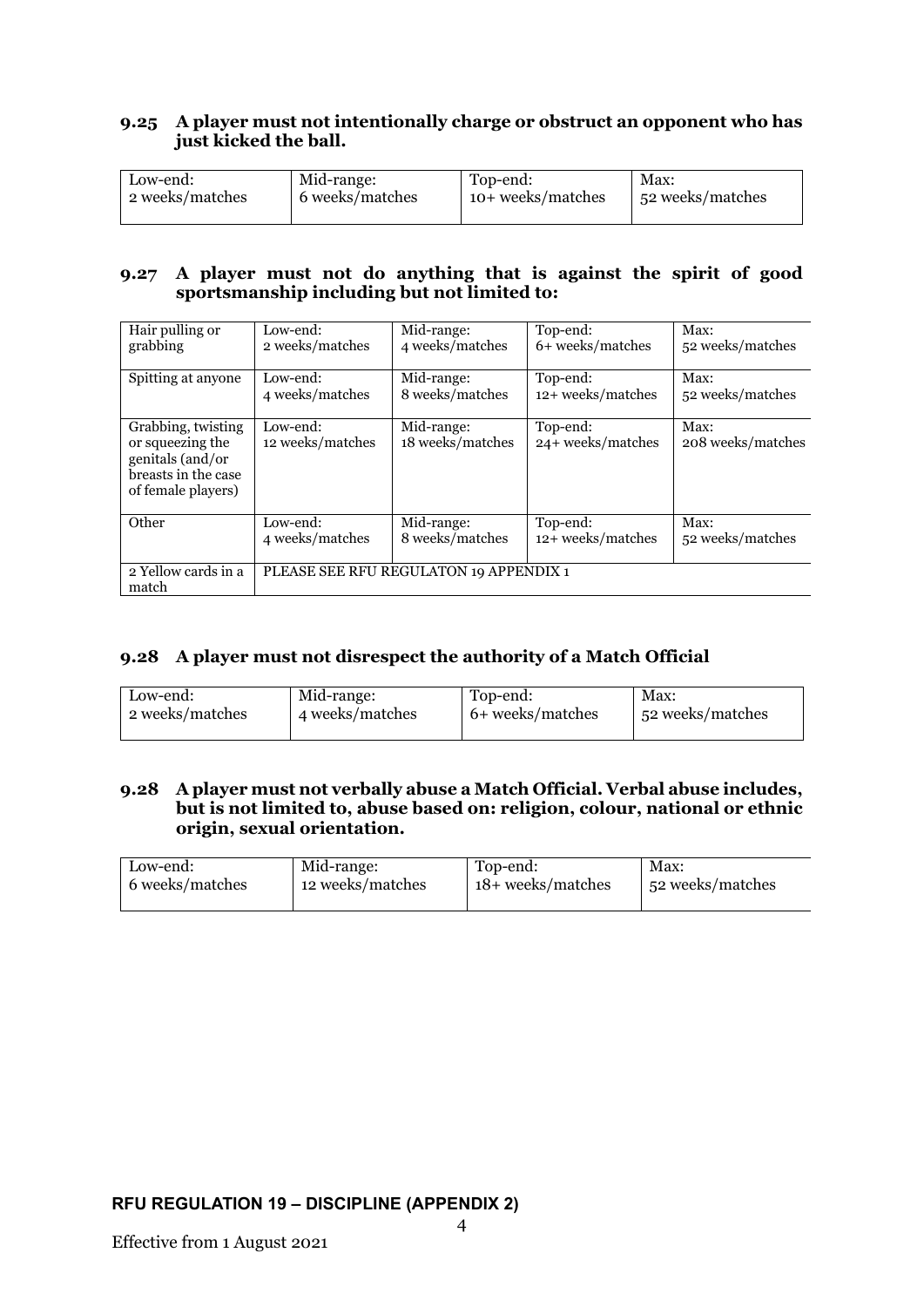## **9.25 A player must not intentionally charge or obstruct an opponent who has just kicked the ball.**

| Low-end:        | Mid-range:      | Top-end:          | Max:             |
|-----------------|-----------------|-------------------|------------------|
| 2 weeks/matches | 6 weeks/matches | 10+ weeks/matches | 52 weeks/matches |
|                 |                 |                   |                  |

#### **9.27 A player must not do anything that is against the spirit of good sportsmanship including but not limited to:**

| Hair pulling or<br>grabbing                                                                             | Low-end:<br>2 weeks/matches  | Mid-range:<br>4 weeks/matches          | Top-end:<br>6+ weeks/matches  | Max:<br>52 weeks/matches  |
|---------------------------------------------------------------------------------------------------------|------------------------------|----------------------------------------|-------------------------------|---------------------------|
|                                                                                                         |                              |                                        |                               |                           |
| Spitting at anyone                                                                                      | Low-end:                     | Mid-range:                             | Top-end:                      | Max:                      |
|                                                                                                         | 4 weeks/matches              | 8 weeks/matches                        | 12+ weeks/matches             | 52 weeks/matches          |
| Grabbing, twisting<br>or squeezing the<br>genitals (and/or<br>breasts in the case<br>of female players) | Low-end:<br>12 weeks/matches | Mid-range:<br>18 weeks/matches         | Top-end:<br>24+ weeks/matches | Max:<br>208 weeks/matches |
| Other                                                                                                   | Low-end:<br>4 weeks/matches  | Mid-range:<br>8 weeks/matches          | Top-end:<br>12+ weeks/matches | Max:<br>52 weeks/matches  |
| 2 Yellow cards in a<br>match                                                                            |                              | PLEASE SEE RFU REGULATON 19 APPENDIX 1 |                               |                           |

## **9.28 A player must not disrespect the authority of a Match Official**

| Low-end:        | Mid-range:      | Top-end:         | Max:             |
|-----------------|-----------------|------------------|------------------|
| 2 weeks/matches | 4 weeks/matches | 6+ weeks/matches | 52 weeks/matches |

## **9.28 A player must not verbally abuse a Match Official. Verbal abuse includes, but is not limited to, abuse based on: religion, colour, national or ethnic origin, sexual orientation.**

| Low-end:        | Mid-range:       | Top-end:          | Max:             |
|-----------------|------------------|-------------------|------------------|
| 6 weeks/matches | 12 weeks/matches | 18+ weeks/matches | 52 weeks/matches |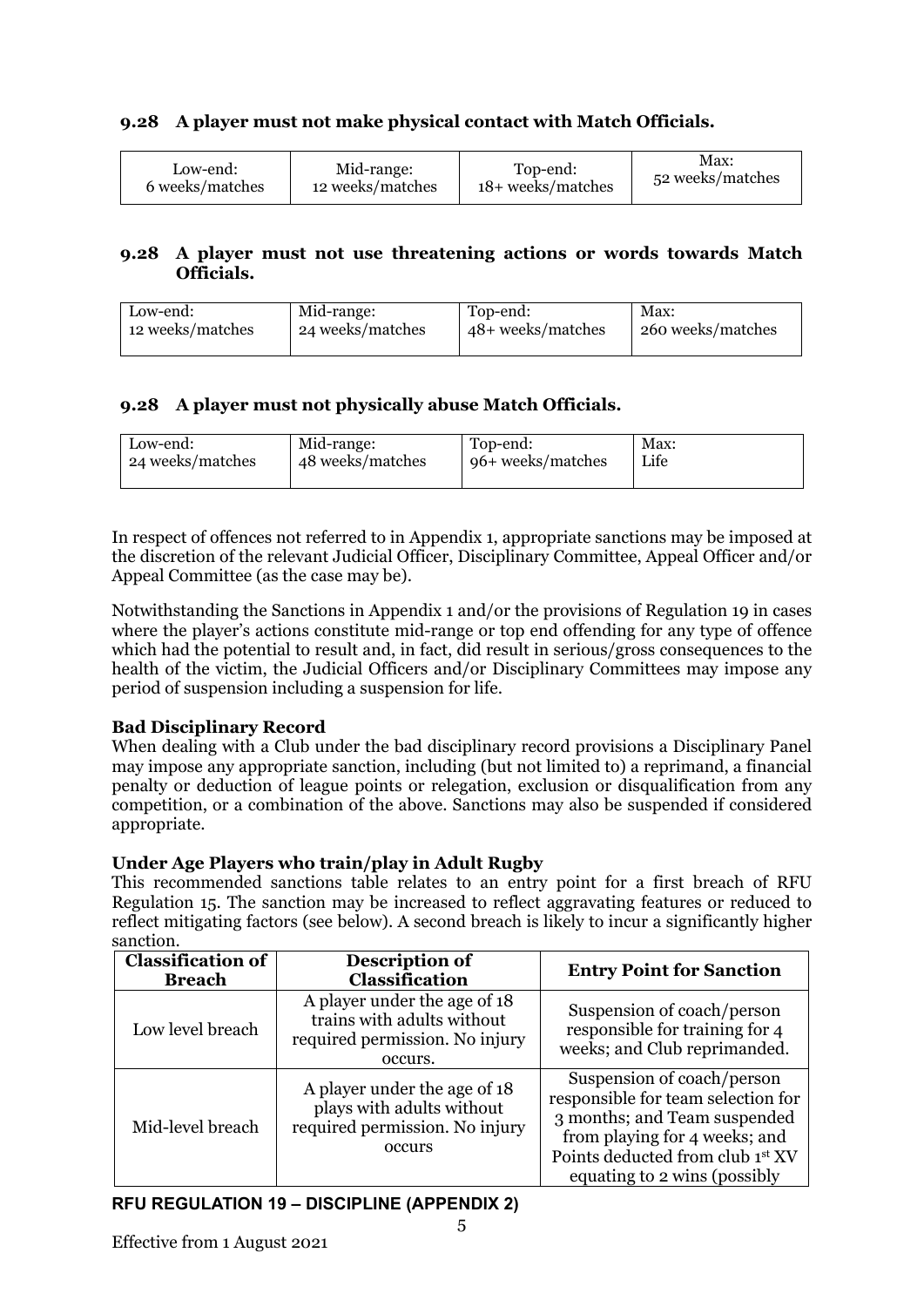## **9.28 A player must not make physical contact with Match Officials.**

| Low-end:        | Mid-range:       | Top-end:          | Max:             |
|-----------------|------------------|-------------------|------------------|
| 6 weeks/matches | 12 weeks/matches | 18+ weeks/matches | 52 weeks/matches |

### **9.28 A player must not use threatening actions or words towards Match Officials.**

| Low-end:         | Mid-range:       | Top-end:          | Max:              |
|------------------|------------------|-------------------|-------------------|
| 12 weeks/matches | 24 weeks/matches | 48+ weeks/matches | 260 weeks/matches |

## **9.28 A player must not physically abuse Match Officials.**

| Low-end:         | Mid-range:       | Top-end:          | Max: |
|------------------|------------------|-------------------|------|
| 24 weeks/matches | 48 weeks/matches | 96+ weeks/matches | Life |
|                  |                  |                   |      |

In respect of offences not referred to in Appendix 1, appropriate sanctions may be imposed at the discretion of the relevant Judicial Officer, Disciplinary Committee, Appeal Officer and/or Appeal Committee (as the case may be).

Notwithstanding the Sanctions in Appendix 1 and/or the provisions of Regulation 19 in cases where the player's actions constitute mid-range or top end offending for any type of offence which had the potential to result and, in fact, did result in serious/gross consequences to the health of the victim, the Judicial Officers and/or Disciplinary Committees may impose any period of suspension including a suspension for life.

## **Bad Disciplinary Record**

When dealing with a Club under the bad disciplinary record provisions a Disciplinary Panel may impose any appropriate sanction, including (but not limited to) a reprimand, a financial penalty or deduction of league points or relegation, exclusion or disqualification from any competition, or a combination of the above. Sanctions may also be suspended if considered appropriate.

## **Under Age Players who train/play in Adult Rugby**

This recommended sanctions table relates to an entry point for a first breach of RFU Regulation 15. The sanction may be increased to reflect aggravating features or reduced to reflect mitigating factors (see below). A second breach is likely to incur a significantly higher sanction.

| <b>Classification of</b><br><b>Breach</b> | Description of<br>Classification                                                                        | <b>Entry Point for Sanction</b>                                                                                                                                                                       |
|-------------------------------------------|---------------------------------------------------------------------------------------------------------|-------------------------------------------------------------------------------------------------------------------------------------------------------------------------------------------------------|
| Low level breach                          | A player under the age of 18<br>trains with adults without<br>required permission. No injury<br>occurs. | Suspension of coach/person<br>responsible for training for 4<br>weeks; and Club reprimanded.                                                                                                          |
| Mid-level breach                          | A player under the age of 18<br>plays with adults without<br>required permission. No injury<br>occurs   | Suspension of coach/person<br>responsible for team selection for<br>3 months; and Team suspended<br>from playing for 4 weeks; and<br>Points deducted from club 1st XV<br>equating to 2 wins (possibly |